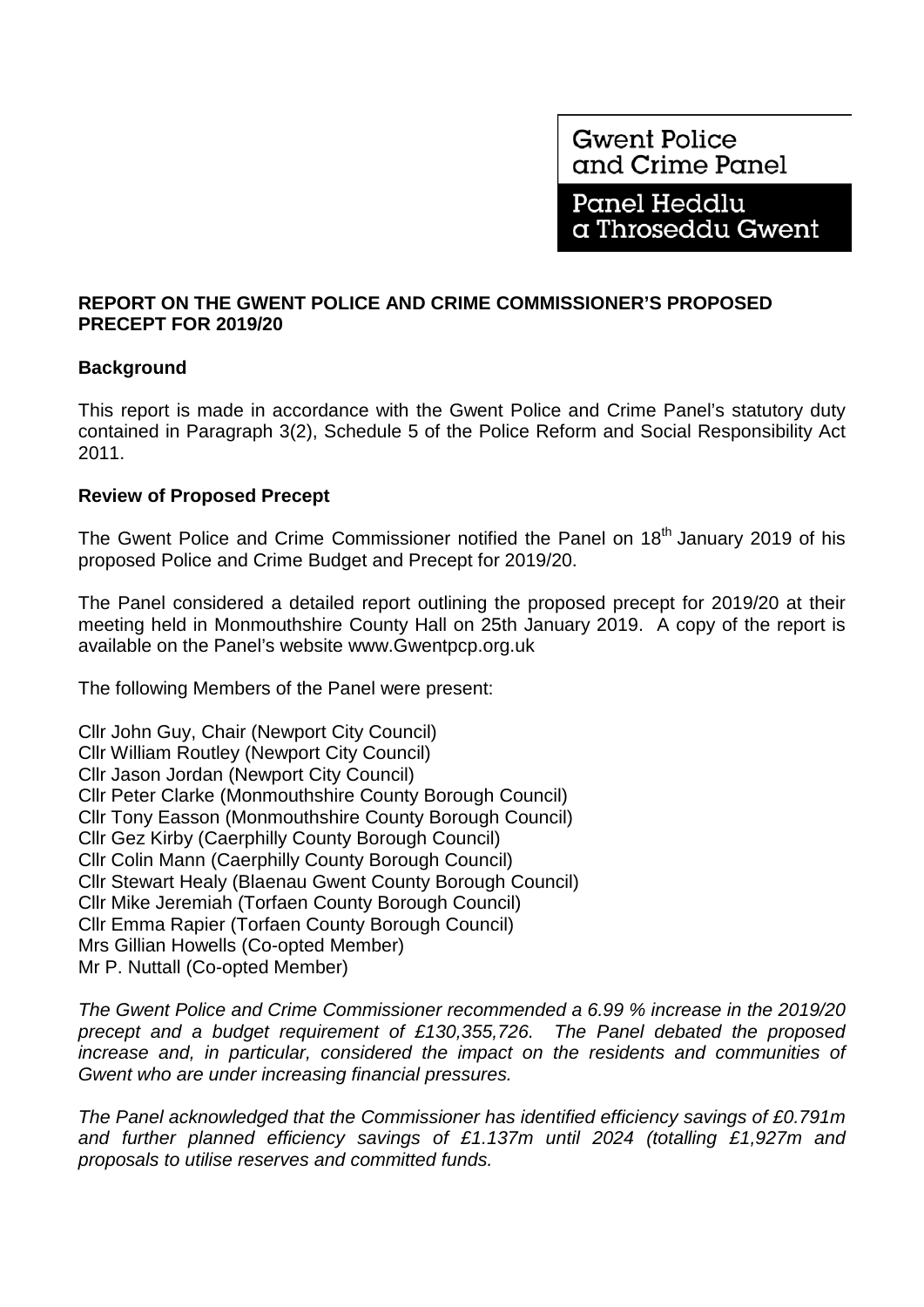## **REPORT ON THE GWENT POLICE AND CRIME COMMISSIONER'S PROPOSED PRECEPT FOR 2019/20**

# **Background**

This report is made in accordance with the Gwent Police and Crime Panel's statutory duty contained in Paragraph 3(2), Schedule 5 of the Police Reform and Social Responsibility Act 2011.

# **Review of Proposed Precept**

The Gwent Police and Crime Commissioner notified the Panel on 18<sup>th</sup> January 2019 of his proposed Police and Crime Budget and Precept for 2019/20.

The Panel considered a detailed report outlining the proposed precept for 2019/20 at their meeting held in Monmouthshire County Hall on 25th January 2019. A copy of the report is available on the Panel's website www.Gwentpcp.org.uk

The following Members of the Panel were present:

Cllr John Guy, Chair (Newport City Council) Cllr William Routley (Newport City Council) Cllr Jason Jordan (Newport City Council) Cllr Peter Clarke (Monmouthshire County Borough Council) Cllr Tony Easson (Monmouthshire County Borough Council) Cllr Gez Kirby (Caerphilly County Borough Council) Cllr Colin Mann (Caerphilly County Borough Council) Cllr Stewart Healy (Blaenau Gwent County Borough Council) Cllr Mike Jeremiah (Torfaen County Borough Council) Cllr Emma Rapier (Torfaen County Borough Council) Mrs Gillian Howells (Co-opted Member) Mr P. Nuttall (Co-opted Member)

*The Gwent Police and Crime Commissioner recommended a 6.99 % increase in the 2019/20 precept and a budget requirement of £130,355,726. The Panel debated the proposed increase and, in particular, considered the impact on the residents and communities of Gwent who are under increasing financial pressures.* 

*The Panel acknowledged that the Commissioner has identified efficiency savings of £0.791m and further planned efficiency savings of £1.137m until 2024 (totalling £1,927m and proposals to utilise reserves and committed funds.*